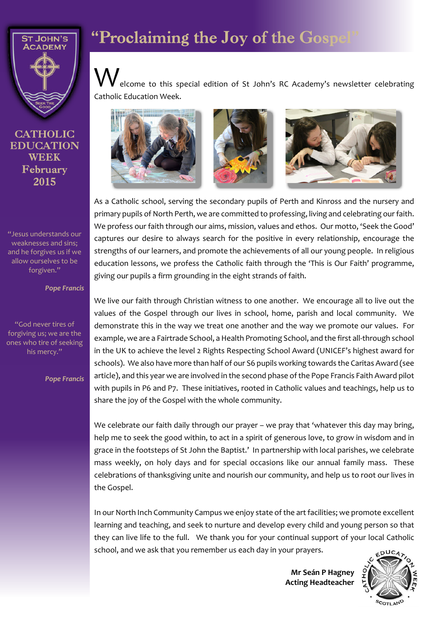

**CATHOLIC EDUCATION WEEK** February 2015

"Jesus understands our weaknesses and sins; and he forgives us if we allow ourselves to be forgiven."

*Pope Francis*

"God never tires of forgiving us; we are the ones who tire of seeking his mercy."

*Pope Francis*

# "Proclaiming the Joy of the Gosp

elcome to this special edition of St John's RC Academy's newsletter celebrating Catholic Education Week.







As a Catholic school, serving the secondary pupils of Perth and Kinross and the nursery and primary pupils of North Perth, we are committed to professing, living and celebrating our faith. We profess our faith through our aims, mission, values and ethos. Our motto, 'Seek the Good' captures our desire to always search for the positive in every relationship, encourage the strengths of our learners, and promote the achievements of all our young people. In religious education lessons, we profess the Catholic faith through the 'This is Our Faith' programme, giving our pupils a firm grounding in the eight strands of faith.

We live our faith through Christian witness to one another. We encourage all to live out the values of the Gospel through our lives in school, home, parish and local community. We demonstrate this in the way we treat one another and the way we promote our values. For example, we are a Fairtrade School, a Health Promoting School, and the first all-through school in the UK to achieve the level 2 Rights Respecting School Award (UNICEF's highest award for schools). We also have more than half of our S6 pupils working towards the Caritas Award (see article), and this year we are involved in the second phase of the Pope Francis Faith Award pilot with pupils in P6 and P7. These initiatives, rooted in Catholic values and teachings, help us to share the joy of the Gospel with the whole community.

We celebrate our faith daily through our prayer – we pray that 'whatever this day may bring, help me to seek the good within, to act in a spirit of generous love, to grow in wisdom and in grace in the footsteps of St John the Baptist.' In partnership with local parishes, we celebrate mass weekly, on holy days and for special occasions like our annual family mass. These celebrations of thanksgiving unite and nourish our community, and help us to root our lives in the Gospel.

In our North Inch Community Campus we enjoy state of the art facilities; we promote excellent learning and teaching, and seek to nurture and develop every child and young person so that they can live life to the full. We thank you for your continual support of your local Catholic school, and we ask that you remember us each day in your prayers.

> **Mr Seán P Hagney Acting Headteacher**

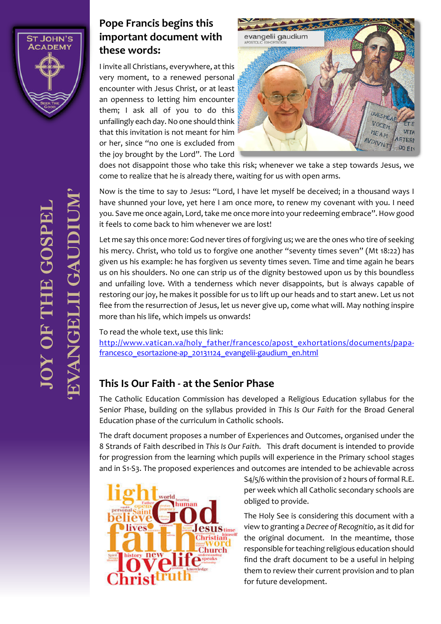

### **Pope Francis begins this important document with these words:**

I invite all Christians, everywhere, at this very moment, to a renewed personal encounter with Jesus Christ, or at least an openness to letting him encounter them; I ask all of you to do this unfailingly each day. No one should think that this invitation is not meant for him or her, since "no one is excluded from the joy brought by the Lord". The Lord



does not disappoint those who take this risk; whenever we take a step towards Jesus, we come to realize that he is already there, waiting for us with open arms.

Now is the time to say to Jesus: "Lord, I have let myself be deceived; in a thousand ways I have shunned your love, yet here I am once more, to renew my covenant with you. I need you. Save me once again, Lord, take me once more into your redeeming embrace". How good it feels to come back to him whenever we are lost!

Let me say this once more: God never tires of forgiving us; we are the ones who tire of seeking his mercy. Christ, who told us to forgive one another "seventy times seven" (Mt 18:22) has given us his example: he has forgiven us seventy times seven. Time and time again he bears us on his shoulders. No one can strip us of the dignity bestowed upon us by this boundless and unfailing love. With a tenderness which never disappoints, but is always capable of restoring our joy, he makes it possible for us to lift up our heads and to start anew. Let us not flee from the resurrection of Jesus, let us never give up, come what will. May nothing inspire more than his life, which impels us onwards!

To read the whole text, use this link:

http://www.vatican.va/holy\_father/francesco/apost\_exhortations/documents/papafrancesco esortazione-ap\_20131124\_evangelii-gaudium\_en.html

# **This Is Our Faith - at the Senior Phase**

The Catholic Education Commission has developed a Religious Education syllabus for the Senior Phase, building on the syllabus provided in *This Is Our Faith* for the Broad General Education phase of the curriculum in Catholic schools.

The draft document proposes a number of Experiences and Outcomes, organised under the 8 Strands of Faith described in *This Is Our Faith*. This draft document is intended to provide for progression from the learning which pupils will experience in the Primary school stages and in S1-S3. The proposed experiences and outcomes are intended to be achievable across



S4/5/6 within the provision of 2 hours of formal R.E. per week which all Catholic secondary schools are obliged to provide.

The Holy See is considering this document with a view to granting a *Decree of Recognitio*, as it did for the original document. In the meantime, those responsible for teaching religious education should find the draft document to be a useful in helping them to review their current provision and to plan for future development.

**IQY OF THE GOSPE**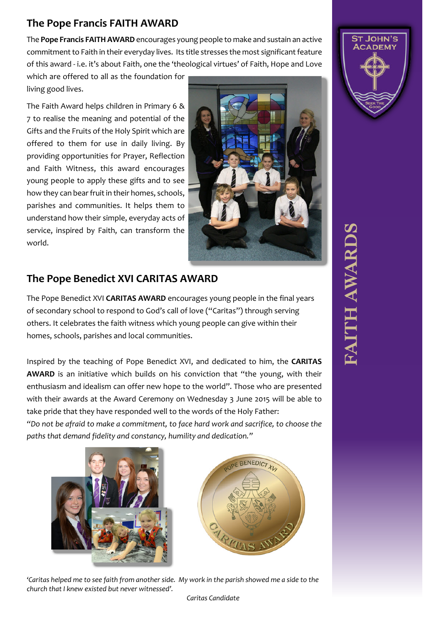# **The Pope Francis FAITH AWARD**

The **Pope Francis FAITH AWARD** encourages young people to make and sustain an active commitment to Faith in their everyday lives. Its title stresses the most significant feature of this award - i.e. it's about Faith, one the 'theological virtues' of Faith, Hope and Love

which are offered to all as the foundation for living good lives.

The Faith Award helps children in Primary 6 & 7 to realise the meaning and potential of the Gifts and the Fruits of the Holy Spirit which are offered to them for use in daily living. By providing opportunities for Prayer, Reflection and Faith Witness, this award encourages young people to apply these gifts and to see how they can bear fruit in their homes, schools, parishes and communities. It helps them to understand how their simple, everyday acts of service, inspired by Faith, can transform the world.



## **The Pope Benedict XVI CARITAS AWARD**

The Pope Benedict XVI **CARITAS AWARD** encourages young people in the final years of secondary school to respond to God's call of love ("Caritas") through serving others. It celebrates the faith witness which young people can give within their homes, schools, parishes and local communities.

Inspired by the teaching of Pope Benedict XVI, and dedicated to him, the **CARITAS AWARD** is an initiative which builds on his conviction that "the young, with their enthusiasm and idealism can offer new hope to the world". Those who are presented with their awards at the Award Ceremony on Wednesday 3 June 2015 will be able to take pride that they have responded well to the words of the Holy Father:

*"Do not be afraid to make a commitment, to face hard work and sacrifice, to choose the paths that demand fidelity and constancy, humility and dedication."*





*'Caritas helped me to see faith from another side. My work in the parish showed me a side to the church that I knew existed but never witnessed'.*



# **PAITH AWAR**